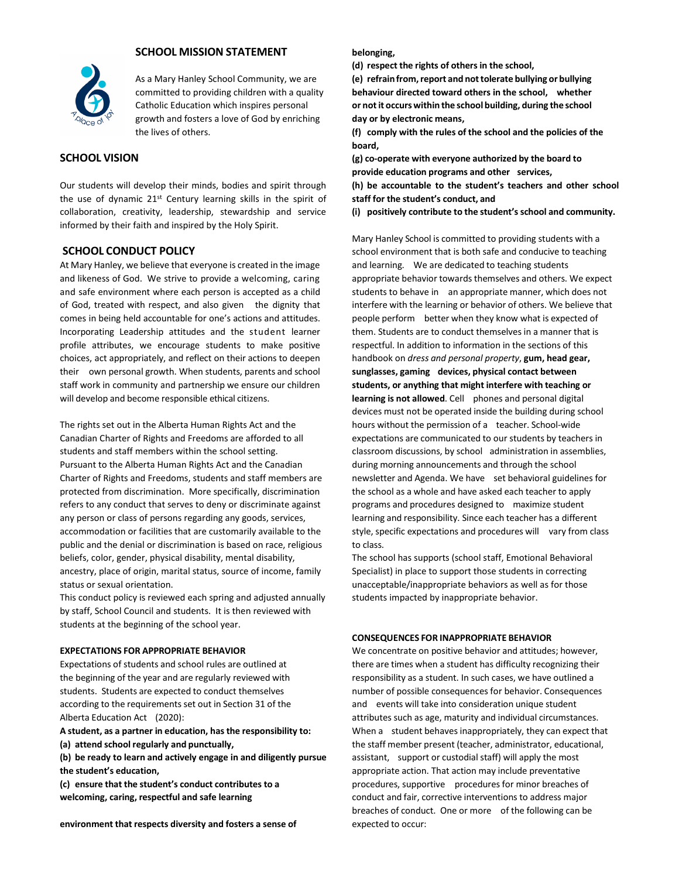

### **SCHOOL MISSION STATEMENT**

As a Mary Hanley School Community, we are committed to providing children with a quality Catholic Education which inspires personal growth and fosters a love of God by enriching the lives of others.

# **SCHOOL VISION**

Our students will develop their minds, bodies and spirit through the use of dynamic 21<sup>st</sup> Century learning skills in the spirit of collaboration, creativity, leadership, stewardship and service informed by their faith and inspired by the Holy Spirit.

### **SCHOOL CONDUCT POLICY**

At Mary Hanley, we believe that everyone is created in the image and likeness of God. We strive to provide a welcoming, caring and safe environment where each person is accepted as a child of God, treated with respect, and also given the dignity that comes in being held accountable for one's actions and attitudes. Incorporating Leadership attitudes and the student learner profile attributes, we encourage students to make positive choices, act appropriately, and reflect on their actions to deepen their own personal growth. When students, parents and school staff work in community and partnership we ensure our children will develop and become responsible ethical citizens.

The rights set out in the Alberta Human Rights Act and the Canadian Charter of Rights and Freedoms are afforded to all students and staff members within the school setting. Pursuant to the Alberta Human Rights Act and the Canadian Charter of Rights and Freedoms, students and staff members are protected from discrimination. More specifically, discrimination refers to any conduct that serves to deny or discriminate against any person or class of persons regarding any goods, services, accommodation or facilities that are customarily available to the public and the denial or discrimination is based on race, religious beliefs, color, gender, physical disability, mental disability, ancestry, place of origin, marital status, source of income, family status or sexual orientation.

This conduct policy is reviewed each spring and adjusted annually by staff, School Council and students. It is then reviewed with students at the beginning of the school year.

#### **EXPECTATIONS FOR APPROPRIATE BEHAVIOR**

Expectations of students and school rules are outlined at the beginning of the year and are regularly reviewed with students. Students are expected to conduct themselves according to the requirements set out in Section 31 of the Alberta Education Act (2020):

**A student, as a partner in education, has the responsibility to:**

**(a) attend school regularly and punctually,**

**(b) be ready to learn and actively engage in and diligently pursue the student's education,**

**(c) ensure that the student's conduct contributes to a welcoming, caring, respectful and safe learning**

#### **belonging,**

**(d) respect the rights of others in the school,**

**(e) refrainfrom,report and nottolerate bullying or bullying behaviour directed toward others in the school, whether or notit occurs within the school building, during the school day or by electronic means,**

**(f) comply with the rules of the school and the policies of the board,**

**(g) co-operate with everyone authorized by the board to provide education programs and other services, (h) be accountable to the student's teachers and other school staff for the student's conduct, and**

**(i) positively contribute to the student's school and community.**

Mary Hanley School is committed to providing students with a school environment that is both safe and conducive to teaching and learning. We are dedicated to teaching students appropriate behavior towards themselves and others. We expect students to behave in an appropriate manner, which does not interfere with the learning or behavior of others. We believe that people perform better when they know what is expected of them. Students are to conduct themselves in a manner that is respectful. In addition to information in the sections of this handbook on *dress and personal property*, **gum, head gear, sunglasses, gaming devices, physical contact between students, or anything that might interfere with teaching or learning is not allowed**. Cell phones and personal digital devices must not be operated inside the building during school hours without the permission of a teacher. School-wide expectations are communicated to our students by teachers in classroom discussions, by school administration in assemblies, during morning announcements and through the school newsletter and Agenda. We have set behavioral guidelines for the school as a whole and have asked each teacher to apply programs and procedures designed to maximize student learning and responsibility. Since each teacher has a different style, specific expectations and procedures will vary from class to class.

The school has supports (school staff, Emotional Behavioral Specialist) in place to support those students in correcting unacceptable/inappropriate behaviors as well as for those students impacted by inappropriate behavior.

#### **CONSEQUENCES FOR INAPPROPRIATE BEHAVIOR**

We concentrate on positive behavior and attitudes; however, there are times when a student has difficulty recognizing their responsibility as a student. In such cases, we have outlined a number of possible consequences for behavior. Consequences and events will take into consideration unique student attributes such as age, maturity and individual circumstances. When a student behaves inappropriately, they can expect that the staff member present (teacher, administrator, educational, assistant, support or custodial staff) will apply the most appropriate action. That action may include preventative procedures, supportive procedures for minor breaches of conduct and fair, corrective interventions to address major breaches of conduct. One or more of the following can be expected to occur: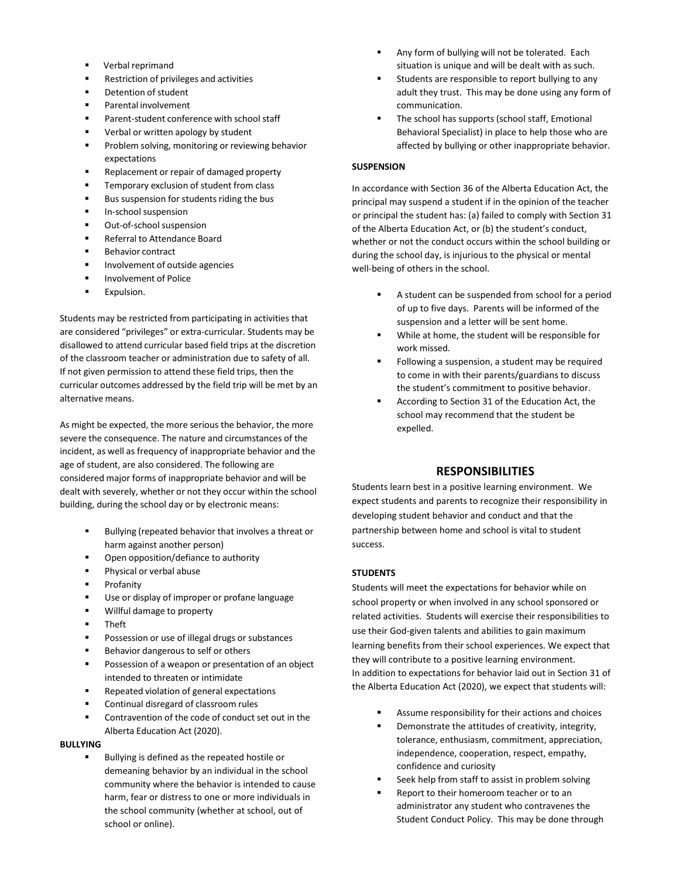- Verbal reprimand
- Restriction of privileges and activities
- Detention of student
- Parental involvement
- Parent-student conference with school staff
- Verbal or written apology by student
- Problem solving, monitoring or reviewing behavior expectations
- Replacement or repair of damaged property
- Temporary exclusion of student from class
- Bus suspension for students riding the bus
- In-school suspension
- Out-of-school suspension
- Referral to Attendance Board
- **Behavior contract**
- Involvement of outside agencies
- Involvement of Police
- Expulsion.

Students may be restricted from participating in activities that are considered "privileges" or extra-curricular. Students may be disallowed to attend curricular based field trips at the discretion of the classroom teacher or administration due to safety of all. If not given permission to attend these field trips, then the curricular outcomes addressed by the field trip will be met by an alternative means.

As might be expected, the more serious the behavior, the more severe the consequence. The nature and circumstances of the incident, as well as frequency of inappropriate behavior and the age of student, are also considered. The following are considered major forms of inappropriate behavior and will be dealt with severely, whether or not they occur within the school building, during the school day or by electronic means:

- Bullying (repeated behavior that involves a threat or harm against another person)
- Open opposition/defiance to authority
- Physical or verbal abuse
- **Profanity**
- Use or display of improper or profane language
- Willful damage to property
- **Theft**
- Possession or use of illegal drugs or substances
- Behavior dangerous to self or others
- Possession of a weapon or presentation of an object intended to threaten or intimidate
- Repeated violation of general expectations
- Continual disregard of classroom rules
- Contravention of the code of conduct set out in the Alberta Education Act (2020).

### **BULLYING**

Bullying is defined as the repeated hostile or demeaning behavior by an individual in the school community where the behavior is intended to cause harm, fear or distress to one or more individuals in the school community (whether at school, out of school or online).

- Any form of bullying will not be tolerated. Each situation is unique and will be dealt with as such.
- Students are responsible to report bullying to any adult they trust. This may be done using any form of communication.
- The school has supports (school staff, Emotional Behavioral Specialist) in place to help those who are affected by bullying or other inappropriate behavior.

### **SUSPENSION**

In accordance with Section 36 of the Alberta Education Act, the principal may suspend a student if in the opinion of the teacher or principal the student has: (a) failed to comply with Section 31 of the Alberta Education Act, or (b) the student's conduct, whether or not the conduct occurs within the school building or during the school day, is injurious to the physical or mental well-being of others in the school.

- A student can be suspended from school for a period of up to five days. Parents will be informed of the suspension and a letter will be sent home.
- While at home, the student will be responsible for work missed.
- Following a suspension, a student may be required to come in with their parents/guardians to discuss the student's commitment to positive behavior.
- According to Section 31 of the Education Act, the school may recommend that the student be expelled.

# **RESPONSIBILITIES**

Students learn best in a positive learning environment. We expect students and parents to recognize their responsibility in developing student behavior and conduct and that the partnership between home and school is vital to student success.

#### **STUDENTS**

Students will meet the expectations for behavior while on school property or when involved in any school sponsored or related activities. Students will exercise their responsibilities to use their God-given talents and abilities to gain maximum learning benefits from their school experiences. We expect that they will contribute to a positive learning environment. In addition to expectations for behavior laid out in Section 31 of the Alberta Education Act (2020), we expect that students will:

- Assume responsibility for their actions and choices
- Demonstrate the attitudes of creativity, integrity, tolerance, enthusiasm, commitment, appreciation, independence, cooperation, respect, empathy, confidence and curiosity
- Seek help from staff to assist in problem solving
- Report to their homeroom teacher or to an administrator any student who contravenes the Student Conduct Policy. This may be done through